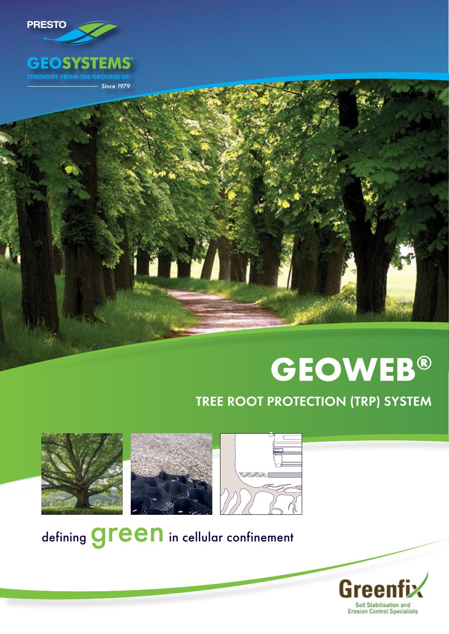

# **GEOWEB®**

# TREE ROOT PROTECTION (TRP) SYSTEM





defining **green** in cellular confinement

Gre **Soil Stabilisation and Erosion Control Specialists**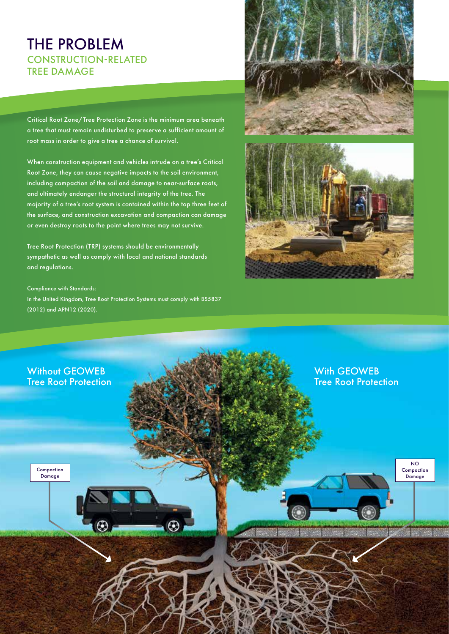## THE PROBLEM CONSTRUCTION-RELATED TREE DAMAGE

Critical Root Zone/Tree Protection Zone is the minimum area beneath a tree that must remain undisturbed to preserve a sufficient amount of root mass in order to give a tree a chance of survival.

When construction equipment and vehicles intrude on a tree's Critical Root Zone, they can cause negative impacts to the soil environment, including compaction of the soil and damage to near-surface roots, and ultimately endanger the structural integrity of the tree. The majority of a tree's root system is contained within the top three feet of the surface, and construction excavation and compaction can damage or even destroy roots to the point where trees may not survive.

Tree Root Protection (TRP) systems should be environmentally sympathetic as well as comply with local and national standards and regulations.

#### Compliance with Standards:

In the United Kingdom, Tree Root Protection Systems must comply with BS5837 (2012) and APN12 (2020).





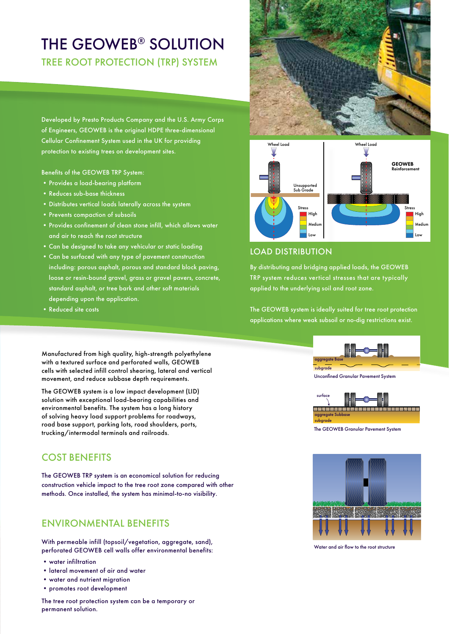## THE GEOWEB® SOLUTION TREE ROOT PROTECTION (TRP) SYSTEM

Developed by Presto Products Company and the U.S. Army Corps of Engineers, GEOWEB is the original HDPE three-dimensional Cellular Confinement System used in the UK for providing protection to existing trees on development sites.

Benefits of the GEOWEB TRP System:

- •Provides a load-bearing platform
- •Reduces sub-base thickness
- •Distributes vertical loads laterally across the system
- Prevents compaction of subsoils
- Provides confinement of clean stone infill, which allows water and air to reach the root structure
- •Can be designed to take any vehicular or static loading
- •Can be surfaced with any type of pavement construction including: porous asphalt, porous and standard block paving, loose or resin-bound gravel, grass or gravel pavers, concrete, standard asphalt, or tree bark and other soft materials depending upon the application.
- •Reduced site costs

Manufactured from high quality, high-strength polyethylene with a textured surface and perforated walls, GEOWEB cells with selected infill control shearing, lateral and vertical movement, and reduce subbase depth requirements.

The GEOWEB system is a low impact development (LID) solution with exceptional load-bearing capabilities and environmental benefits. The system has a long history of solving heavy load support problems for roadways, road base support, parking lots, road shoulders, ports, trucking/intermodal terminals and railroads.

## COST BENEFITS

The GEOWEB TRP system is an economical solution for reducing construction vehicle impact to the tree root zone compared with other methods. Once installed, the system has minimal-to-no visibility.

### ENVIRONMENTAL BENEFITS

With permeable infill (topsoil/vegetation, aggregate, sand), perforated GEOWEB cell walls offer environmental benefits:

- water infiltration
- •lateral movement of air and water
- •water and nutrient migration
- •promotes root development





#### LOAD DISTRIBUTION

By distributing and bridging applied loads, the GEOWEB TRP system reduces vertical stresses that are typically applied to the underlying soil and root zone.

The GEOWEB system is ideally suited for tree root protection applications where weak subsoil or no-dig restrictions exist.



Unconfined Granular Pavement System



The GEOWEB Granular Pavement System



Water and air flow to the root structure

The tree root protection system can be a temporary or permanent solution.